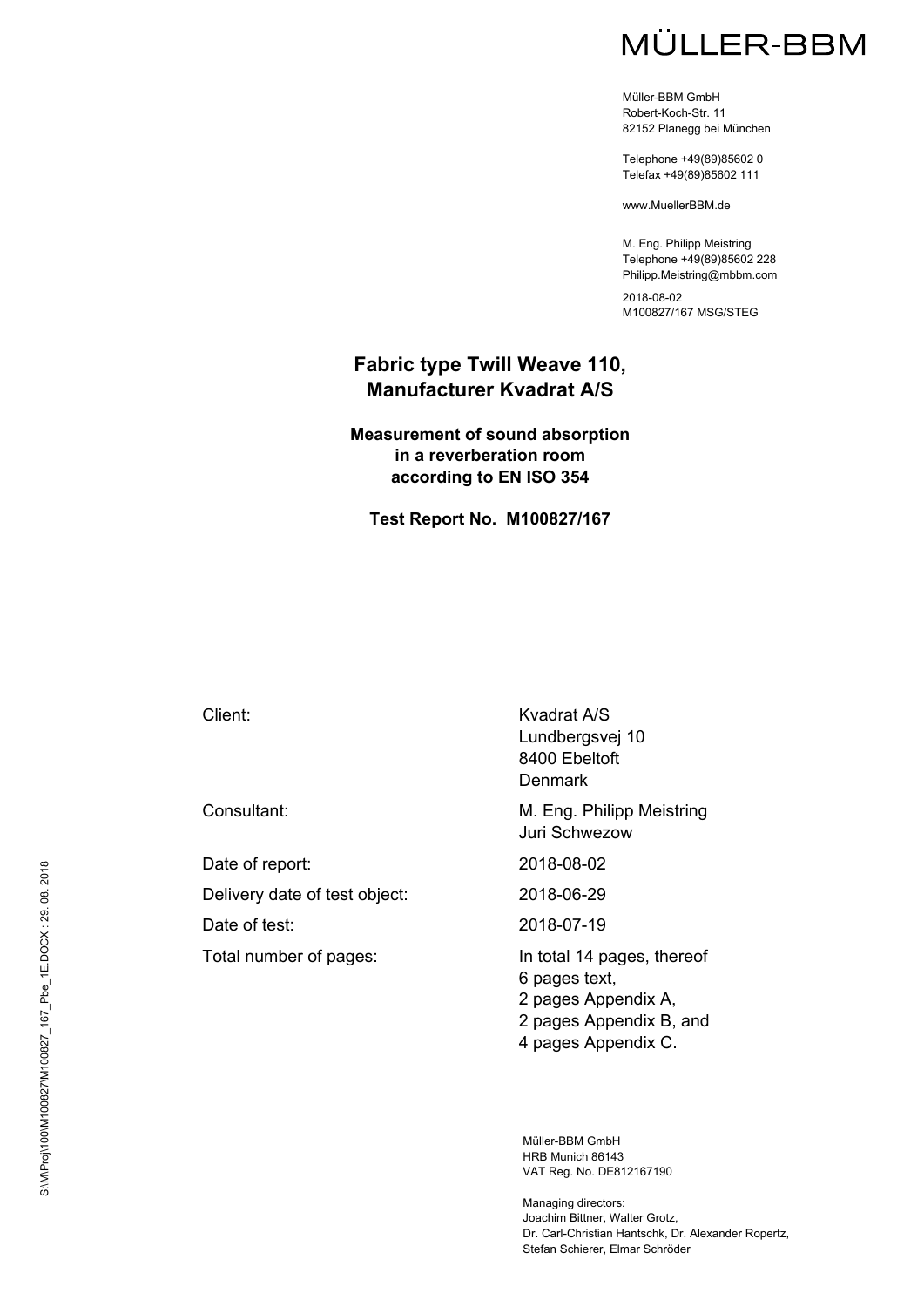Müller-BBM GmbH Robert-Koch-Str. 11 82152 Planegg bei München

Telephone +49(89)85602 0 Telefax +49(89)85602 111

www.MuellerBBM.de

M. Eng. Philipp Meistring Telephone +49(89)85602 228 Philipp.Meistring@mbbm.com

2018-08-02 M100827/167 MSG/STEG

## **Fabric type Twill Weave 110, Manufacturer Kvadrat A/S**

**Measurement of sound absorption in a reverberation room according to EN ISO 354** 

**Test Report No. M100827/167** 

Date of report: 2018-08-02 Delivery date of test object: 2018-06-29 Date of test: 2018-07-19

Total number of pages: In total 14 pages, thereof

Client: Kvadrat A/S Lundbergsvej 10 8400 Ebeltoft Denmark

Consultant: Consultant: Consultant: M. Eng. Philipp Meistring Juri Schwezow

6 pages text, 2 pages Appendix A, 2 pages Appendix B, and 4 pages Appendix C.

Müller-BBM GmbH HRB Munich 86143 VAT Reg. No. DE812167190

Managing directors: Joachim Bittner, Walter Grotz, Dr. Carl-Christian Hantschk, Dr. Alexander Ropertz, Stefan Schierer, Elmar Schröder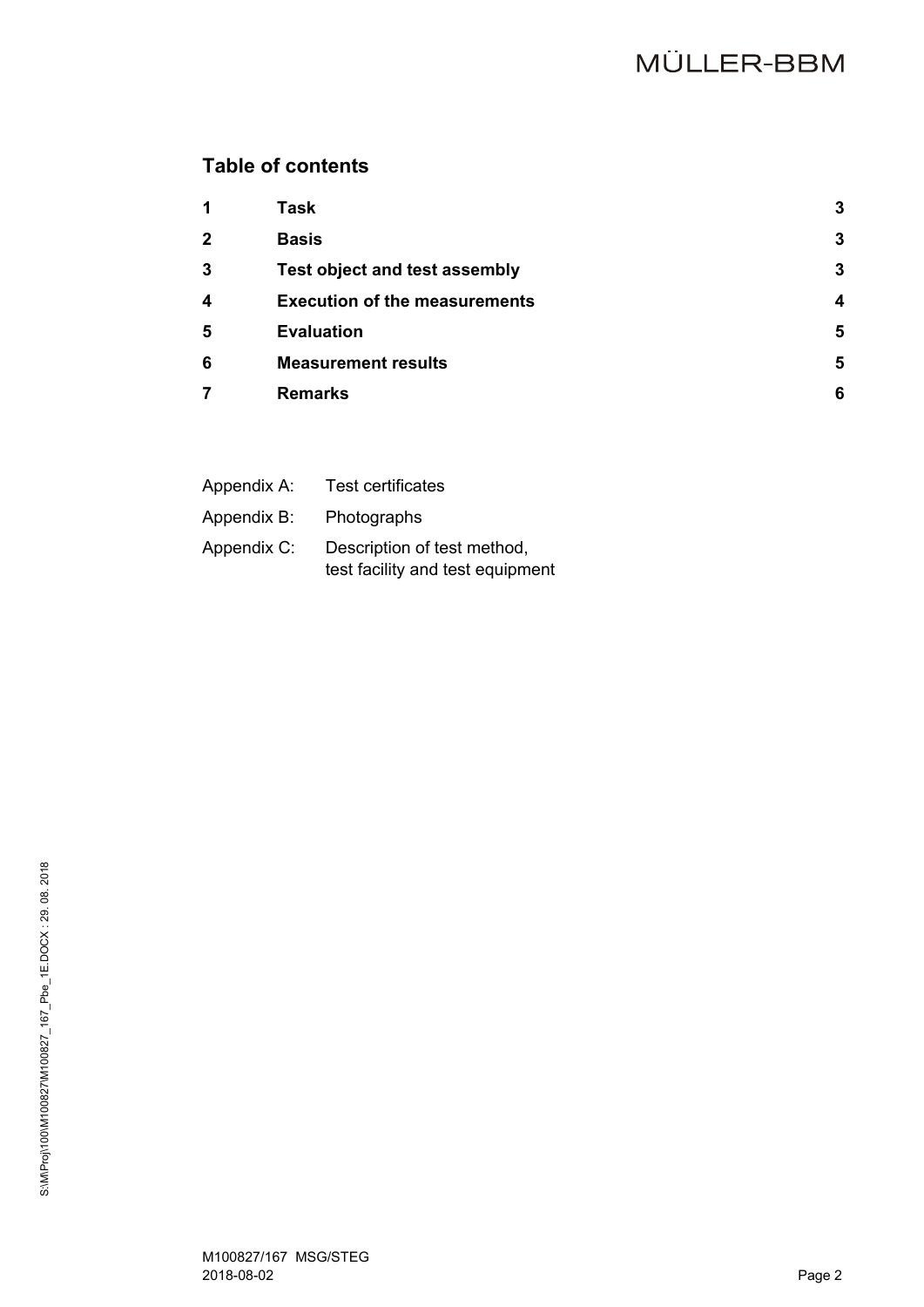# **Table of contents**

| $\mathbf 1$             | <b>Task</b>                          | 3 |
|-------------------------|--------------------------------------|---|
| $\overline{2}$          | <b>Basis</b>                         | 3 |
| 3                       | <b>Test object and test assembly</b> | 3 |
| $\overline{\mathbf{4}}$ | <b>Execution of the measurements</b> | Δ |
| 5                       | <b>Evaluation</b>                    | 5 |
| 6                       | <b>Measurement results</b>           | 5 |
| 7                       | <b>Remarks</b>                       | 6 |
|                         |                                      |   |

| Appendix A: | <b>Test certificates</b>                                        |
|-------------|-----------------------------------------------------------------|
| Appendix B: | Photographs                                                     |
| Appendix C: | Description of test method,<br>test facility and test equipment |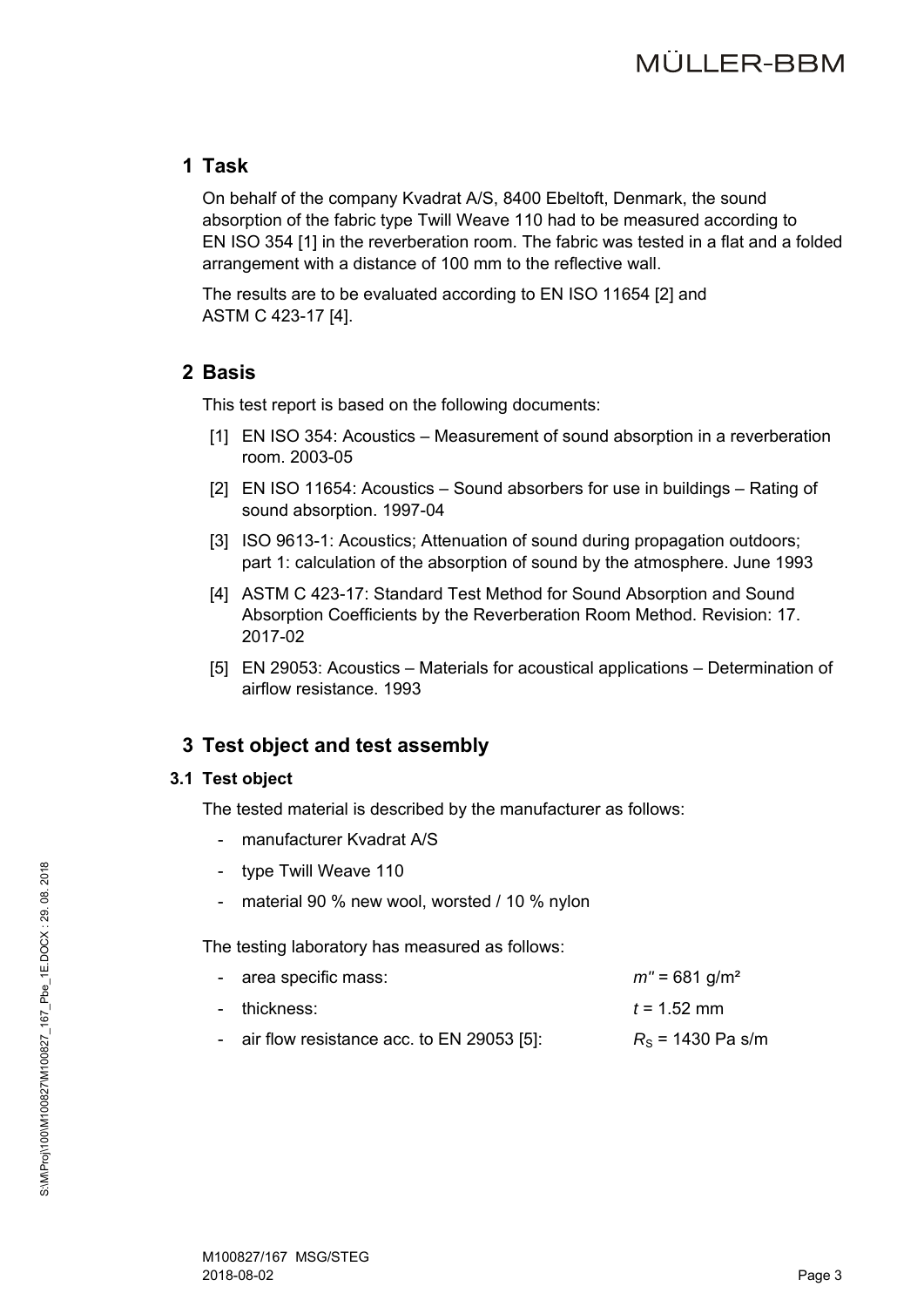# **1 Task**

On behalf of the company Kvadrat A/S, 8400 Ebeltoft, Denmark, the sound absorption of the fabric type Twill Weave 110 had to be measured according to EN ISO 354 [1] in the reverberation room. The fabric was tested in a flat and a folded arrangement with a distance of 100 mm to the reflective wall.

The results are to be evaluated according to EN ISO 11654 [2] and ASTM C 423-17 [4].

# **2 Basis**

This test report is based on the following documents:

- [1] EN ISO 354: Acoustics Measurement of sound absorption in a reverberation room. 2003-05
- [2] EN ISO 11654: Acoustics Sound absorbers for use in buildings Rating of sound absorption. 1997-04
- [3] ISO 9613-1: Acoustics; Attenuation of sound during propagation outdoors; part 1: calculation of the absorption of sound by the atmosphere. June 1993
- [4] ASTM C 423-17: Standard Test Method for Sound Absorption and Sound Absorption Coefficients by the Reverberation Room Method. Revision: 17. 2017-02
- [5] EN 29053: Acoustics Materials for acoustical applications Determination of airflow resistance. 1993

# **3 Test object and test assembly**

### **3.1 Test object**

The tested material is described by the manufacturer as follows:

- manufacturer Kvadrat A/S
- type Twill Weave 110
- material 90 % new wool, worsted / 10 % nylon

The testing laboratory has measured as follows:

| - area specific mass:                       | $m'' = 681$ g/m <sup>2</sup> |
|---------------------------------------------|------------------------------|
| - thickness:                                | $t = 1.52$ mm                |
| - air flow resistance acc. to EN 29053 [5]: | $R_s$ = 1430 Pa s/m          |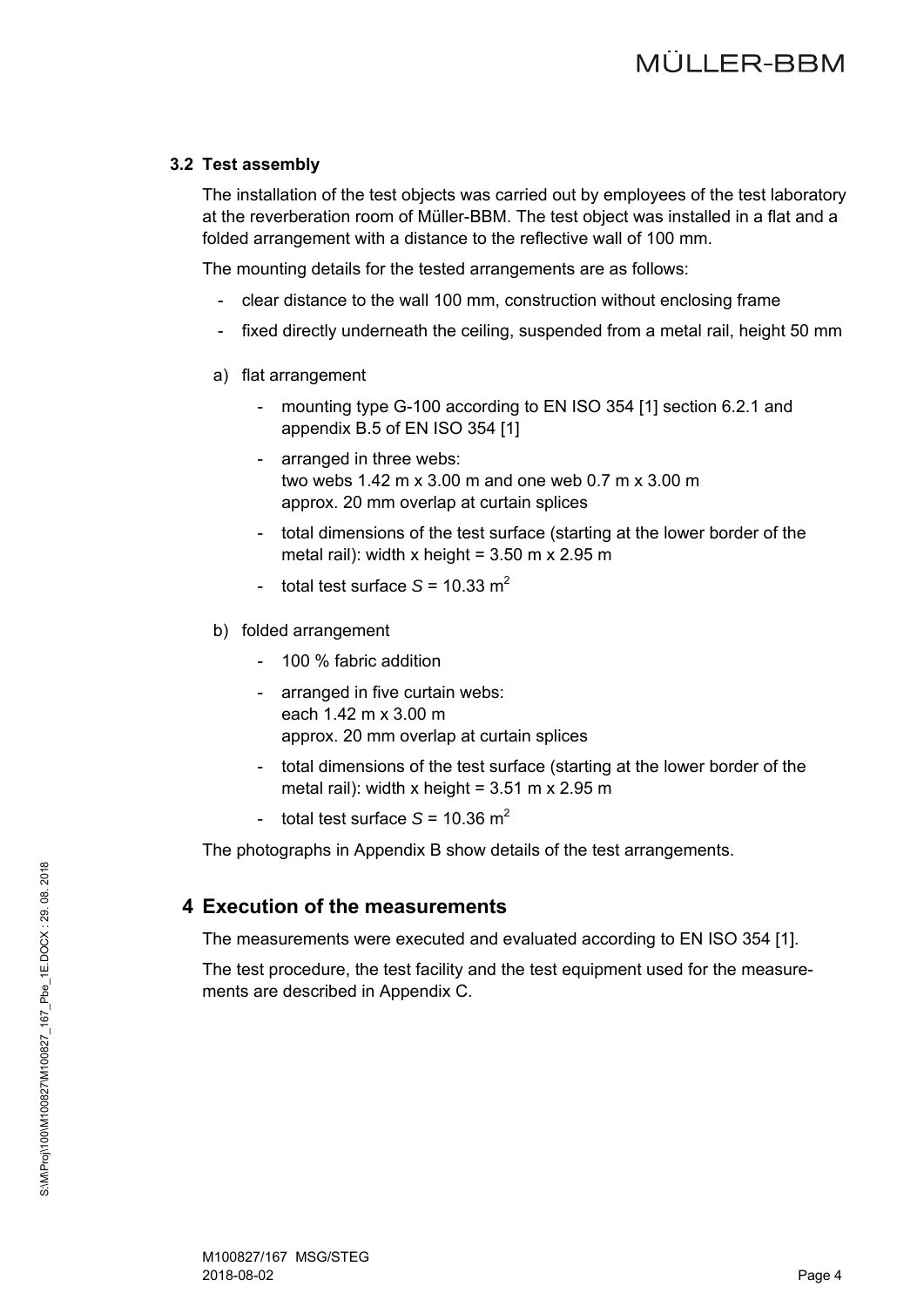### **3.2 Test assembly**

The installation of the test objects was carried out by employees of the test laboratory at the reverberation room of Müller-BBM. The test object was installed in a flat and a folded arrangement with a distance to the reflective wall of 100 mm.

The mounting details for the tested arrangements are as follows:

- clear distance to the wall 100 mm, construction without enclosing frame
- fixed directly underneath the ceiling, suspended from a metal rail, height 50 mm
- a) flat arrangement
	- mounting type G-100 according to EN ISO 354 [1] section 6.2.1 and appendix B.5 of EN ISO 354 [1]
	- arranged in three webs: two webs 1.42 m x 3.00 m and one web 0.7 m x 3.00 m approx. 20 mm overlap at curtain splices
	- total dimensions of the test surface (starting at the lower border of the metal rail): width x height =  $3.50$  m x  $2.95$  m
	- total test surface  $S = 10.33$  m<sup>2</sup>
- b) folded arrangement
	- 100 % fabric addition
	- arranged in five curtain webs: each 1.42 m x 3.00 m approx. 20 mm overlap at curtain splices
	- total dimensions of the test surface (starting at the lower border of the metal rail): width x height =  $3.51$  m x 2.95 m
	- total test surface  $S = 10.36$  m<sup>2</sup>

The photographs in Appendix B show details of the test arrangements.

## **4 Execution of the measurements**

The measurements were executed and evaluated according to EN ISO 354 [1].

The test procedure, the test facility and the test equipment used for the measurements are described in Appendix C.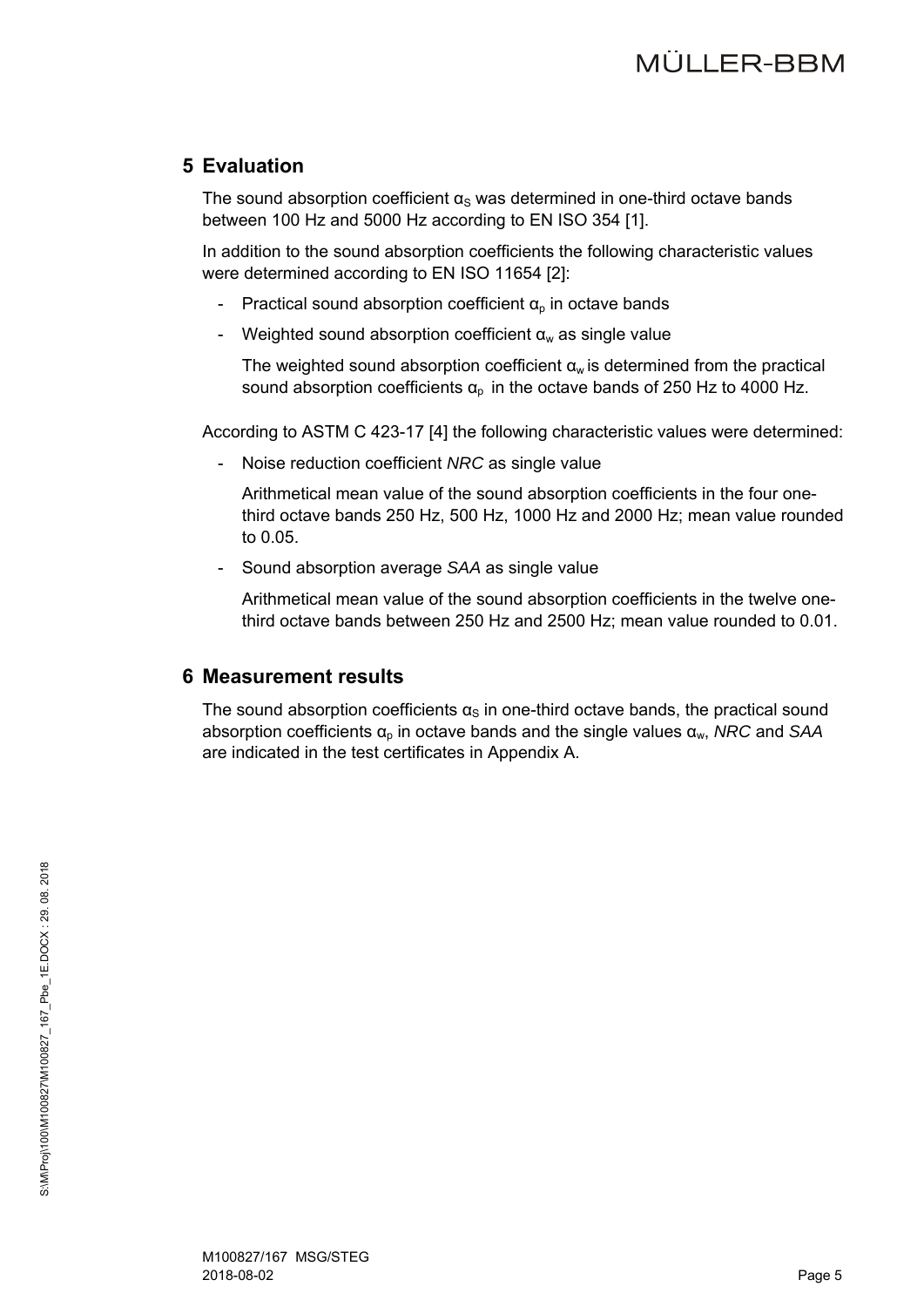# **5 Evaluation**

The sound absorption coefficient  $\alpha_s$  was determined in one-third octave bands between 100 Hz and 5000 Hz according to EN ISO 354 [1].

In addition to the sound absorption coefficients the following characteristic values were determined according to EN ISO 11654 [2]:

- Practical sound absorption coefficient  $\alpha_{p}$  in octave bands
- Weighted sound absorption coefficient  $\alpha_w$  as single value

The weighted sound absorption coefficient  $a<sub>w</sub>$  is determined from the practical sound absorption coefficients  $\alpha_p$  in the octave bands of 250 Hz to 4000 Hz.

According to ASTM C 423-17 [4] the following characteristic values were determined:

Noise reduction coefficient *NRC* as single value

Arithmetical mean value of the sound absorption coefficients in the four onethird octave bands 250 Hz, 500 Hz, 1000 Hz and 2000 Hz; mean value rounded to 0.05.

- Sound absorption average *SAA* as single value

Arithmetical mean value of the sound absorption coefficients in the twelve onethird octave bands between 250 Hz and 2500 Hz; mean value rounded to 0.01.

## **6 Measurement results**

The sound absorption coefficients  $\alpha_{\rm s}$  in one-third octave bands, the practical sound absorption coefficients αp in octave bands and the single values αw, *NRC* and *SAA* are indicated in the test certificates in Appendix A.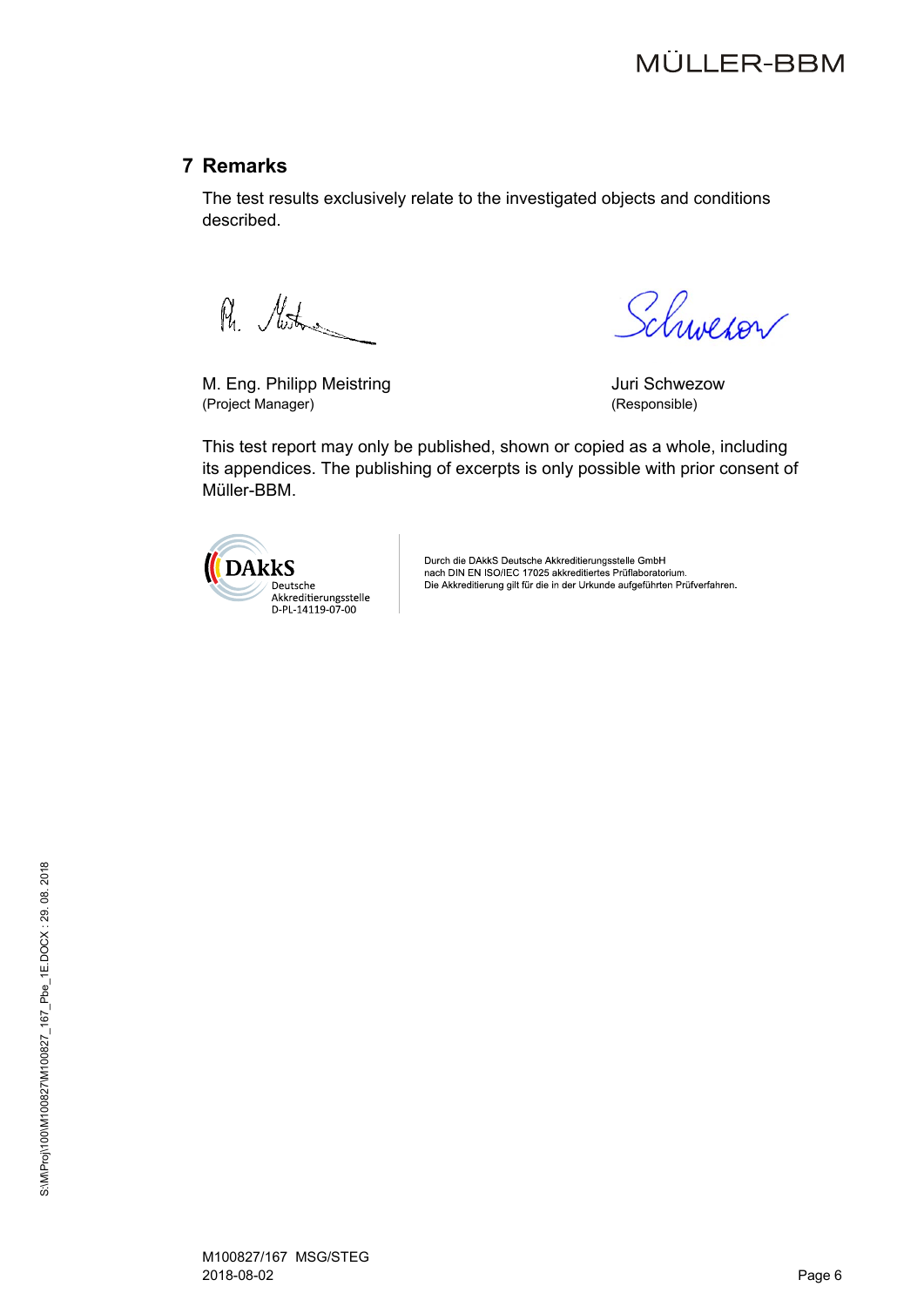# **7 Remarks**

The test results exclusively relate to the investigated objects and conditions described.

R. Mitro

M. Eng. Philipp Meistring<br>
(Project Manager) (Project Manager) (Project Manager)

Schweron

This test report may only be published, shown or copied as a whole, including its appendices. The publishing of excerpts is only possible with prior consent of Müller-BBM.



Durch die DAkkS Deutsche Akkreditierungsstelle GmbH<br>nach DIN EN ISO/IEC 17025 akkreditiertes Prüflaboratorium. Die Akkreditierung gilt für die in der Urkunde aufgeführten Prüfverfahren.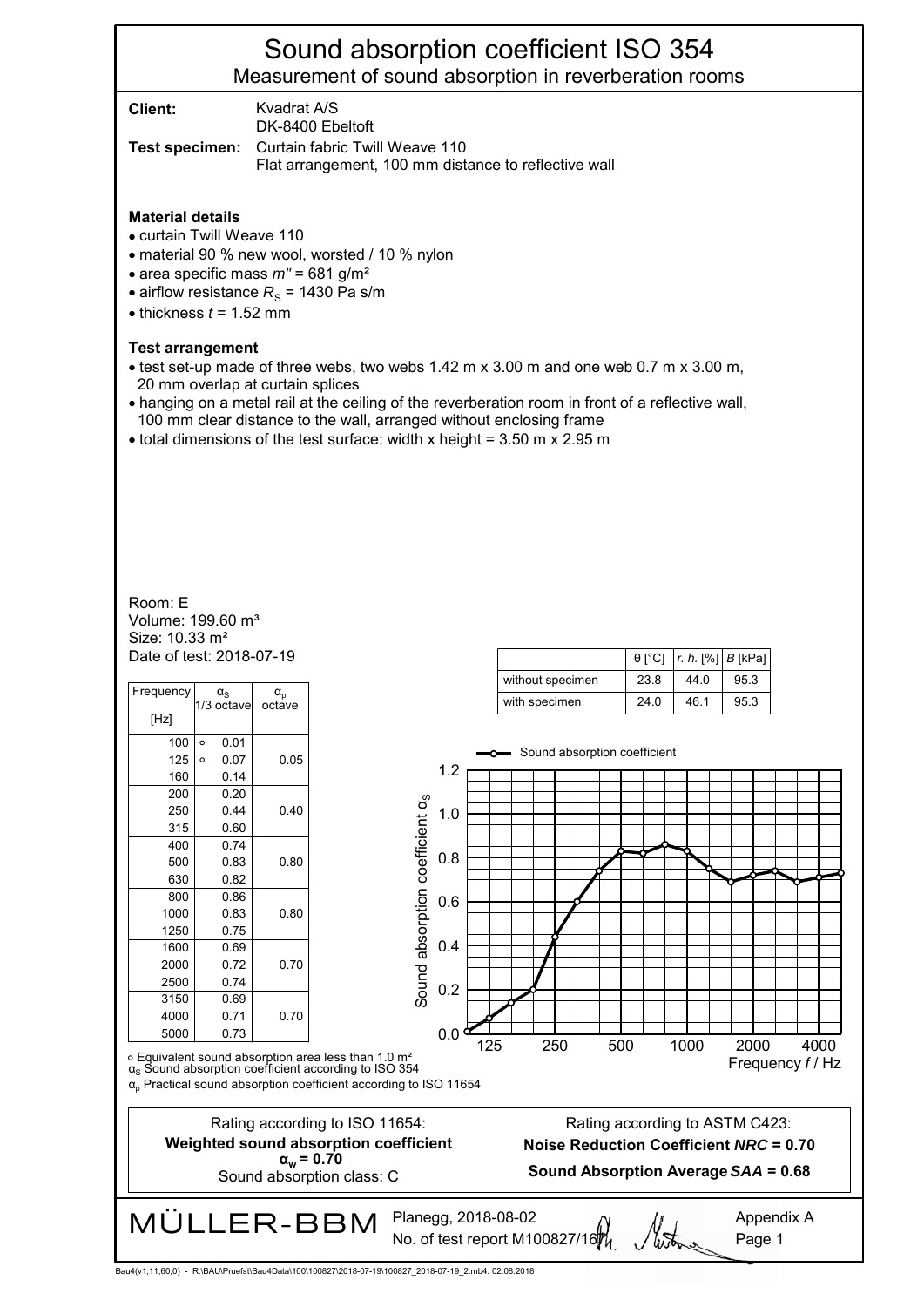# Sound absorption coefficient ISO 354 Measurement of sound absorption in reverberation rooms

**Client:** Kvadrat A/S DK-8400 Ebeltoft

**Test specimen:** Curtain fabric Twill Weave 110 Flat arrangement, 100 mm distance to reflective wall

#### **Material details**

- curtain Twill Weave 110
- material 90 % new wool, worsted / 10 % nylon
- area specific mass  $m'' = 681$  g/m<sup>2</sup>
- airflow resistance  $R<sub>S</sub>$  = 1430 Pa s/m
- $\bullet$  thickness  $t = 1.52$  mm

#### **Test arrangement**

- $\bullet$  test set-up made of three webs, two webs 1.42 m x 3.00 m and one web 0.7 m x 3.00 m, 20 mm overlap at curtain splices
- hanging on a metal rail at the ceiling of the reverberation room in front of a reflective wall, 100 mm clear distance to the wall, arranged without enclosing frame
- $\bullet$  total dimensions of the test surface: width x height = 3.50 m x 2.95 m

Date of test: 2018-07-19 Size: 10.33 m² Volume: 199.60 m<sup>3</sup> Room: E

| Frequency |         | $\alpha_{\rm S}$<br>1/3 octave | $\alpha_{\rm p}$<br>octave |
|-----------|---------|--------------------------------|----------------------------|
| [Hz]      |         |                                |                            |
| 100       | $\circ$ | 0.01                           |                            |
| 125       | $\circ$ | 0.07                           | 0.05                       |
| 160       |         | 0.14                           |                            |
| 200       |         | 0.20                           |                            |
| 250       |         | 0.44                           | 0.40                       |
| 315       |         | 0.60                           |                            |
| 400       |         | 0.74                           |                            |
| 500       |         | 0.83                           | 0.80                       |
| 630       |         | 0.82                           |                            |
| 800       |         | 0.86                           |                            |
| 1000      |         | 0.83                           | 0.80                       |
| 1250      |         | 0.75                           |                            |
| 1600      |         | 0.69                           |                            |
| 2000      |         | 0.72                           | 0.70                       |
| 2500      |         | 0.74                           |                            |
| 3150      |         | 0.69                           |                            |
| 4000      |         | 0.71                           | 0.70                       |
| 5000      |         | 0.73                           |                            |

|                  |      | $\theta$ [°C]   r. h. [%]   B [kPa] |      |
|------------------|------|-------------------------------------|------|
| without specimen | 23.8 | 44.0                                | 95.3 |
| with specimen    | 240  | 46.1                                | 95.3 |



Rating according to ISO 11654: **Weighted sound absorption coefficient**  $\alpha_w = 0.70$ Sound absorption class: C

Bau4(v1,11,60,0) - R:\BAU\Pruefst\Bau4Data\100\100827\2018-07-19\100827\_2018-07-19\_2.mb4: 02.08.2018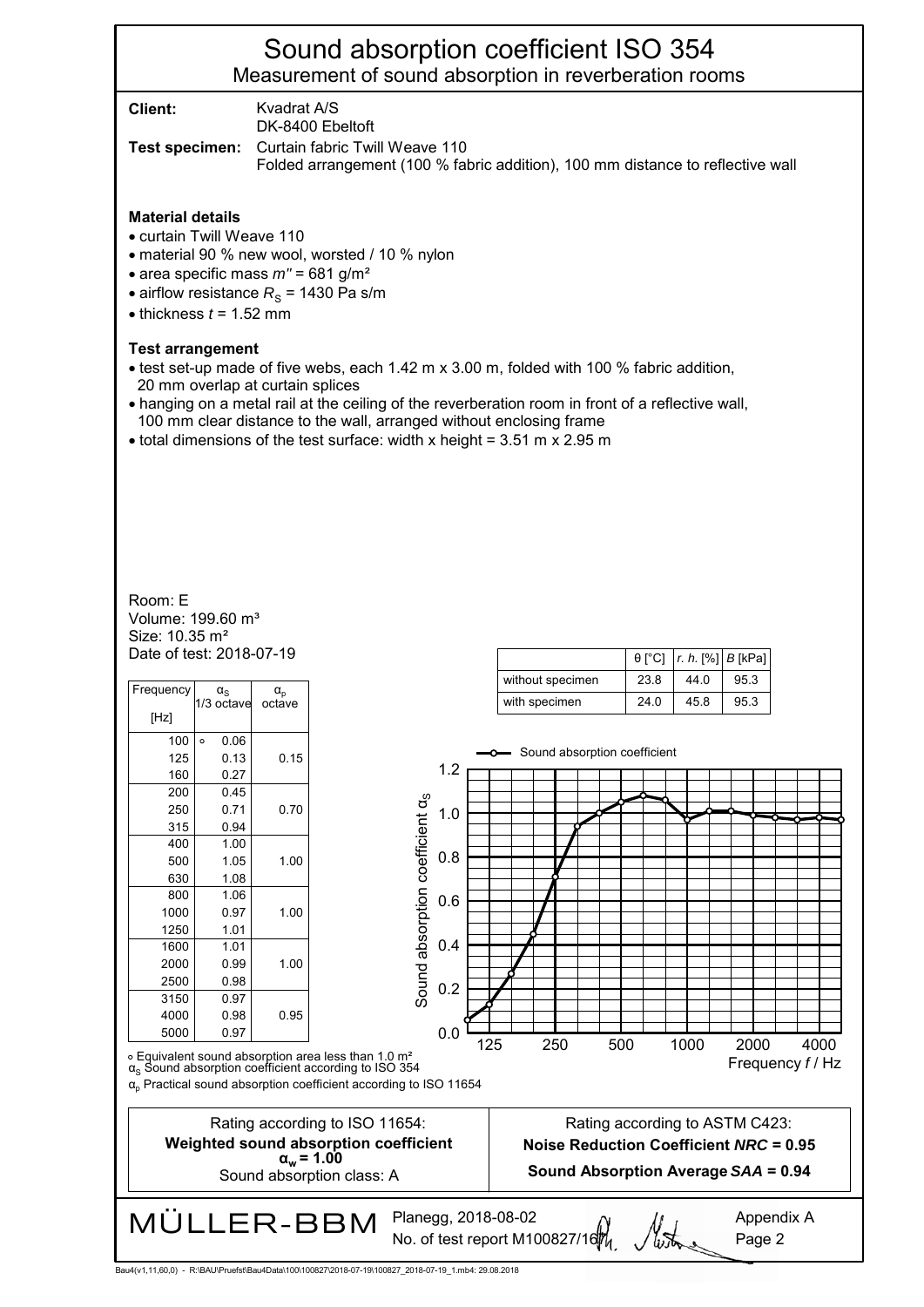# Sound absorption coefficient ISO 354 Measurement of sound absorption in reverberation rooms

**Client:** Kvadrat A/S

DK-8400 Ebeltoft

**Test specimen:** Curtain fabric Twill Weave 110 Folded arrangement (100 % fabric addition), 100 mm distance to reflective wall

#### **Material details**

- curtain Twill Weave 110
- material 90 % new wool, worsted / 10 % nylon
- area specific mass  $m'' = 681$  g/m<sup>2</sup>
- airflow resistance  $R<sub>S</sub>$  = 1430 Pa s/m
- $\bullet$  thickness  $t = 1.52$  mm

#### **Test arrangement**

- test set-up made of five webs, each 1.42 m x 3.00 m, folded with 100 % fabric addition, 20 mm overlap at curtain splices
- hanging on a metal rail at the ceiling of the reverberation room in front of a reflective wall, 100 mm clear distance to the wall, arranged without enclosing frame
- $\bullet$  total dimensions of the test surface: width x height = 3.51 m x 2.95 m

Date of test: 2018-07-19 Size: 10.35 m² Volume: 199.60 m<sup>3</sup> Room: E

| Frequency  | $\alpha_{\rm S}$        | $\alpha_{\rm p}$ |                                                                                                                                                                                                                              |     |     |               |     | without specimen |     | 23.8                                                                     | 44.0 | 95.3 |        |                        |  |
|------------|-------------------------|------------------|------------------------------------------------------------------------------------------------------------------------------------------------------------------------------------------------------------------------------|-----|-----|---------------|-----|------------------|-----|--------------------------------------------------------------------------|------|------|--------|------------------------|--|
| [Hz]       | 1/3 octave              | octave           |                                                                                                                                                                                                                              |     |     | with specimen |     |                  |     | 24.0                                                                     | 45.8 | 95.3 |        |                        |  |
| 100<br>125 | $\circ$<br>0.06<br>0.13 | 0.15             |                                                                                                                                                                                                                              |     |     |               |     |                  |     | -O-Sound absorption coefficient                                          |      |      |        |                        |  |
| 160        | 0.27                    |                  |                                                                                                                                                                                                                              | 1.2 |     |               |     |                  |     |                                                                          |      |      |        |                        |  |
| 200        | 0.45                    |                  |                                                                                                                                                                                                                              |     |     |               |     |                  |     |                                                                          |      |      |        |                        |  |
| 250        | 0.71                    | 0.70             |                                                                                                                                                                                                                              | 1.0 |     |               |     |                  |     |                                                                          |      |      |        |                        |  |
| 315        | 0.94                    |                  |                                                                                                                                                                                                                              |     |     |               |     |                  |     |                                                                          |      |      |        |                        |  |
| 400        | 1.00                    |                  |                                                                                                                                                                                                                              |     |     |               |     |                  |     |                                                                          |      |      |        |                        |  |
| 500        | 1.05                    | 1.00             |                                                                                                                                                                                                                              | 0.8 |     |               |     |                  |     |                                                                          |      |      |        |                        |  |
| 630        | 1.08                    |                  | Sound absorption coefficient as                                                                                                                                                                                              |     |     |               |     |                  |     |                                                                          |      |      |        |                        |  |
| 800        | 1.06                    |                  |                                                                                                                                                                                                                              | 0.6 |     |               |     |                  |     |                                                                          |      |      |        |                        |  |
| 1000       | 0.97                    | 1.00             |                                                                                                                                                                                                                              |     |     |               |     |                  |     |                                                                          |      |      |        |                        |  |
| 1250       | 1.01                    |                  |                                                                                                                                                                                                                              |     |     |               |     |                  |     |                                                                          |      |      |        |                        |  |
| 1600       | 1.01                    |                  |                                                                                                                                                                                                                              | 0.4 |     |               |     |                  |     |                                                                          |      |      |        |                        |  |
| 2000       | 0.99                    | 1.00             |                                                                                                                                                                                                                              |     |     |               |     |                  |     |                                                                          |      |      |        |                        |  |
| 2500       | 0.98                    |                  |                                                                                                                                                                                                                              |     |     |               |     |                  |     |                                                                          |      |      |        |                        |  |
| 3150       | 0.97                    |                  |                                                                                                                                                                                                                              | 0.2 |     |               |     |                  |     |                                                                          |      |      |        |                        |  |
| 4000       | 0.98                    | 0.95             |                                                                                                                                                                                                                              |     |     |               |     |                  |     |                                                                          |      |      |        |                        |  |
| 5000       | 0.97                    |                  |                                                                                                                                                                                                                              | 0.0 |     |               |     |                  |     |                                                                          |      |      |        |                        |  |
|            |                         |                  | $\circ$ Equivalent sound absorption area less than 1.0 m <sup>2</sup><br>$\alpha_s$ Sound absorption coefficient according to ISO 354<br>$\alpha$ <sub>p</sub> Practical sound absorption coefficient according to ISO 11654 |     | 125 |               | 250 |                  | 500 |                                                                          | 1000 |      | 2000   | 4000<br>Frequency f/Hz |  |
|            |                         |                  | Rating according to ISO 11654:<br>Weighted sound absorption coefficient                                                                                                                                                      |     |     |               |     |                  |     | Rating according to ASTM C423:<br>Noise Reduction Coefficient NRC = 0.95 |      |      |        |                        |  |
|            |                         |                  | $\alpha_w = 1.00$<br>Sound absorption class: A                                                                                                                                                                               |     |     |               |     |                  |     | Sound Absorption Average SAA = 0.94                                      |      |      |        |                        |  |
|            |                         |                  | Planegg, 2018-08-02<br>MÜLLER-BBM<br>No. of test report M100827/16                                                                                                                                                           |     |     |               |     |                  |     |                                                                          |      |      | Page 2 | Appendix A             |  |

θ [°C] *r. h.* [%] *B* [kPa]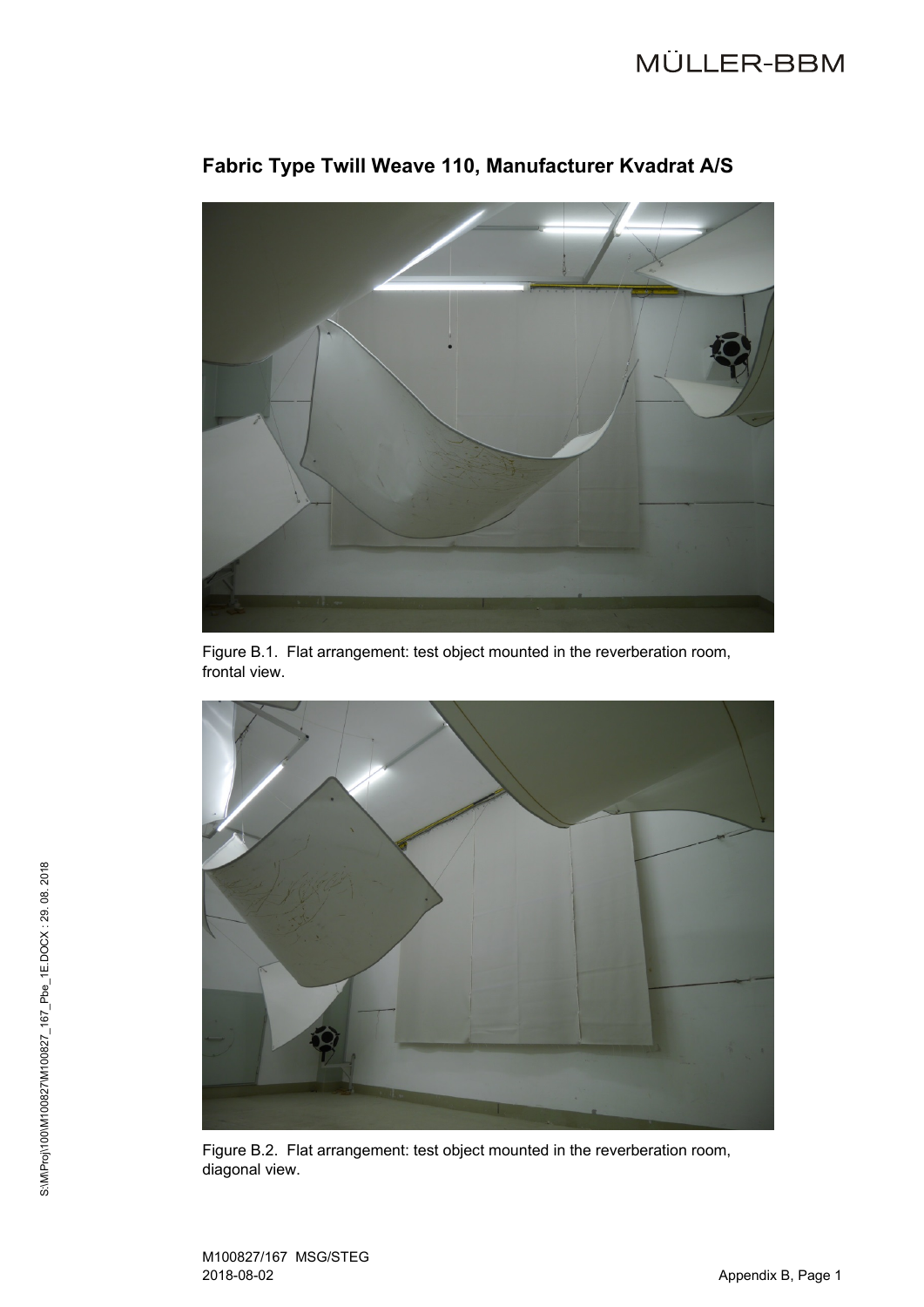

# **Fabric Type Twill Weave 110, Manufacturer Kvadrat A/S**

Figure B.1. Flat arrangement: test object mounted in the reverberation room, frontal view.



Figure B.2. Flat arrangement: test object mounted in the reverberation room, diagonal view.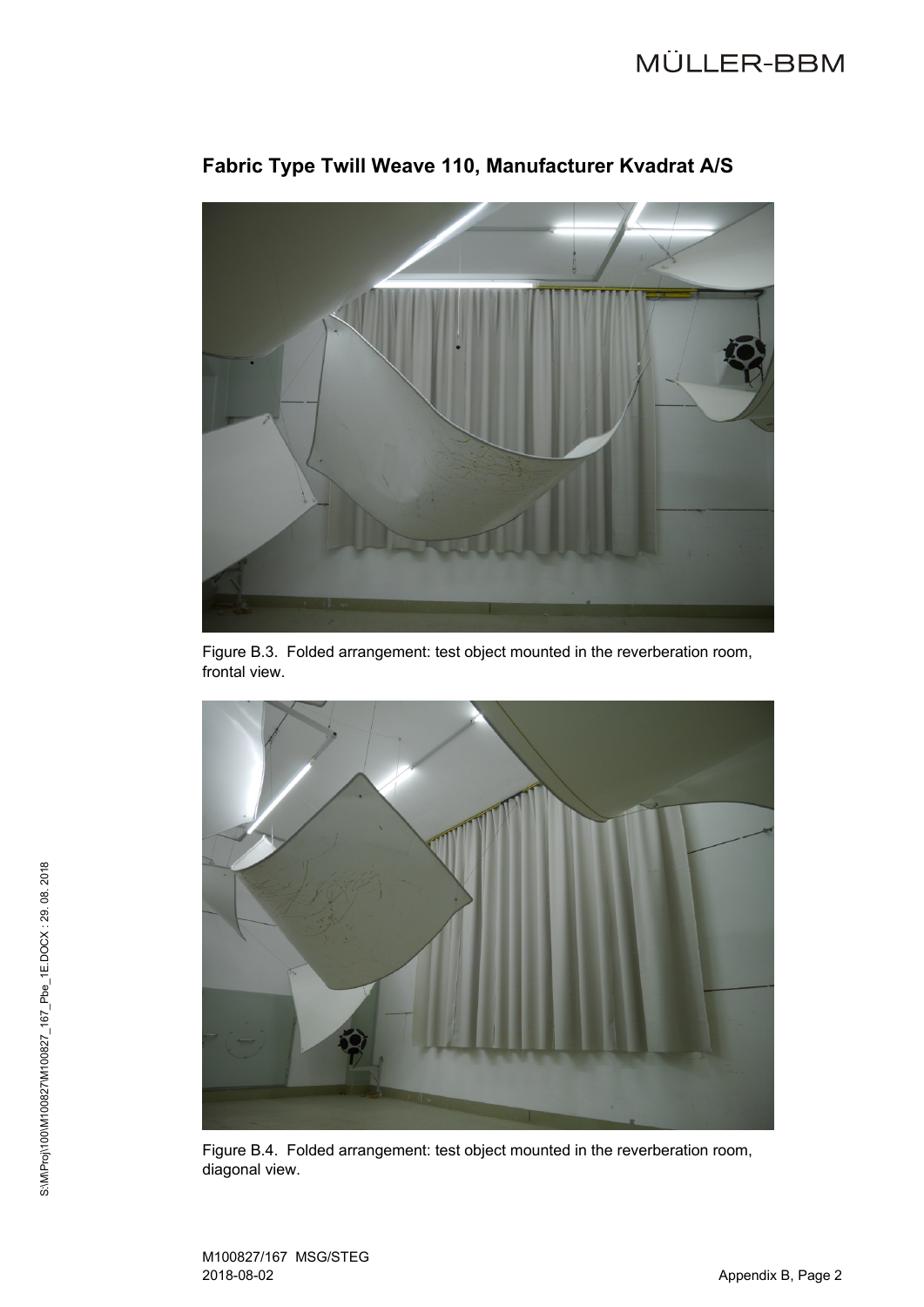

# **Fabric Type Twill Weave 110, Manufacturer Kvadrat A/S**

Figure B.3. Folded arrangement: test object mounted in the reverberation room, frontal view.



Figure B.4. Folded arrangement: test object mounted in the reverberation room, diagonal view.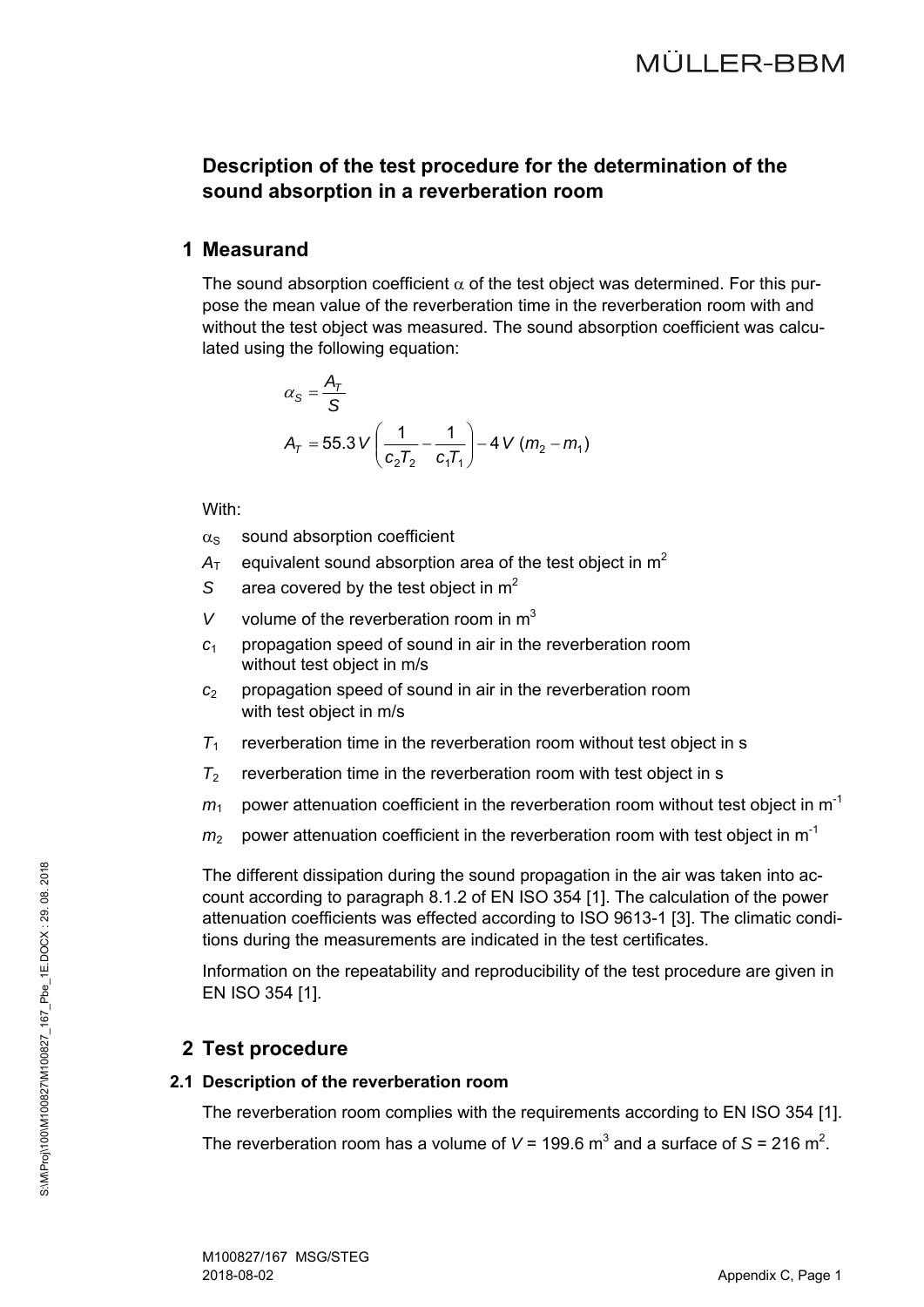# **Description of the test procedure for the determination of the sound absorption in a reverberation room**

### **1 Measurand**

The sound absorption coefficient  $\alpha$  of the test object was determined. For this purpose the mean value of the reverberation time in the reverberation room with and without the test object was measured. The sound absorption coefficient was calculated using the following equation:

$$
\alpha_{S} = \frac{A_{T}}{S}
$$
  
A<sub>T</sub> = 55.3 V  $\left(\frac{1}{c_{2}T_{2}} - \frac{1}{c_{1}T_{1}}\right)$  – 4 V  $(m_{2} - m_{1})$ 

With:

- $\alpha_s$  sound absorption coefficient
- $A<sub>T</sub>$  equivalent sound absorption area of the test object in  $m<sup>2</sup>$
- *S* area covered by the test object in m<sup>2</sup>
- *V* volume of the reverberation room in  $m<sup>3</sup>$
- *c*<sup>1</sup> propagation speed of sound in air in the reverberation room without test object in m/s
- *c*<sup>2</sup> propagation speed of sound in air in the reverberation room with test object in m/s
- $T_1$  reverberation time in the reverberation room without test object in s
- $T_2$  reverberation time in the reverberation room with test object in s
- $m_1$  power attenuation coefficient in the reverberation room without test object in  $m^{-1}$
- $m<sub>2</sub>$  power attenuation coefficient in the reverberation room with test object in m<sup>-1</sup>

The different dissipation during the sound propagation in the air was taken into account according to paragraph 8.1.2 of EN ISO 354 [1]. The calculation of the power attenuation coefficients was effected according to ISO 9613-1 [3]. The climatic conditions during the measurements are indicated in the test certificates.

Information on the repeatability and reproducibility of the test procedure are given in EN ISO 354 [1].

# **2 Test procedure**

### **2.1 Description of the reverberation room**

The reverberation room complies with the requirements according to EN ISO 354 [1]. The reverberation room has a volume of  $V = 199.6$  m<sup>3</sup> and a surface of  $S = 216$  m<sup>2</sup>.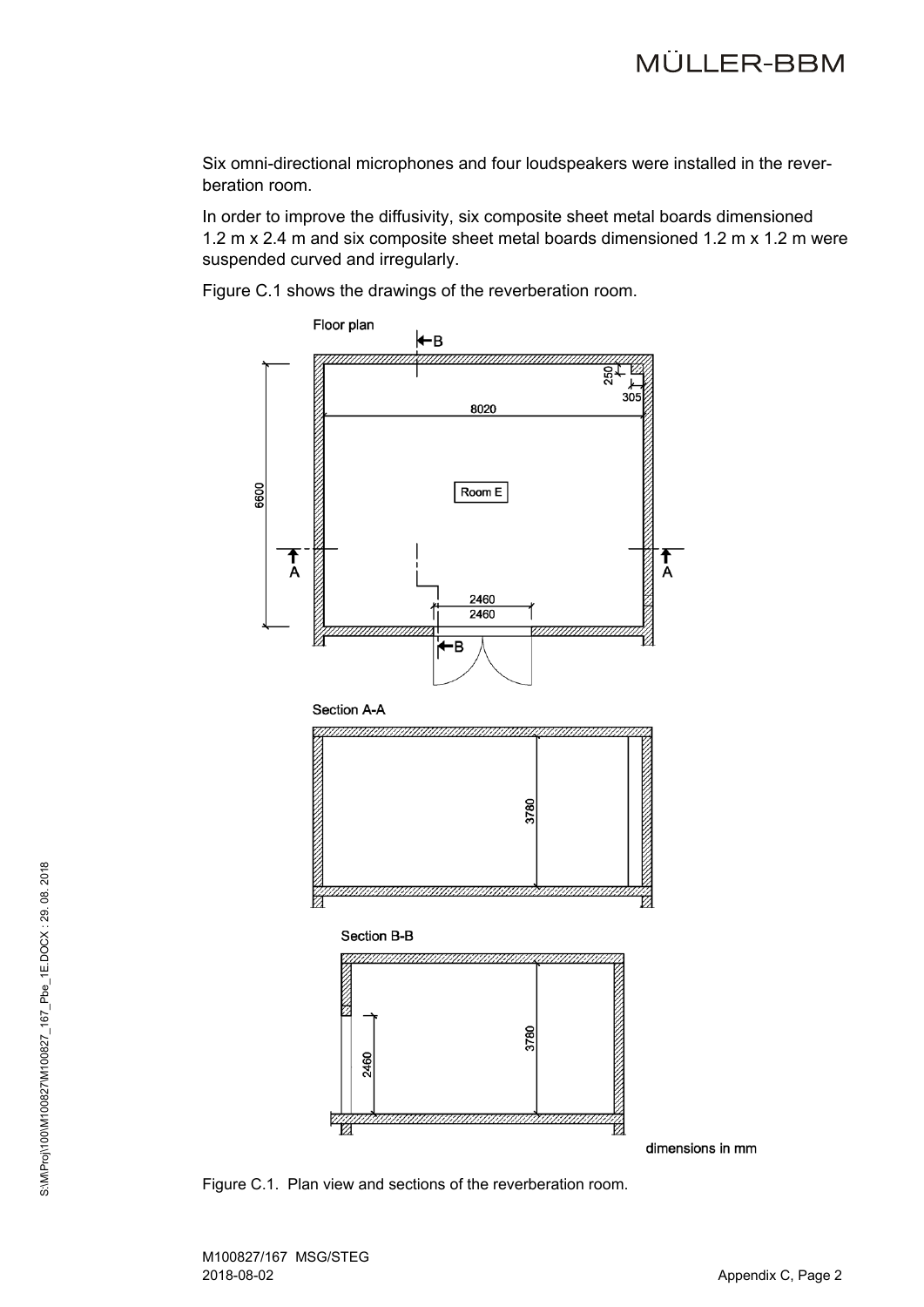Six omni-directional microphones and four loudspeakers were installed in the reverberation room.

In order to improve the diffusivity, six composite sheet metal boards dimensioned 1.2 m x 2.4 m and six composite sheet metal boards dimensioned 1.2 m x 1.2 m were suspended curved and irregularly.

Figure C.1 shows the drawings of the reverberation room.



Figure C.1. Plan view and sections of the reverberation room.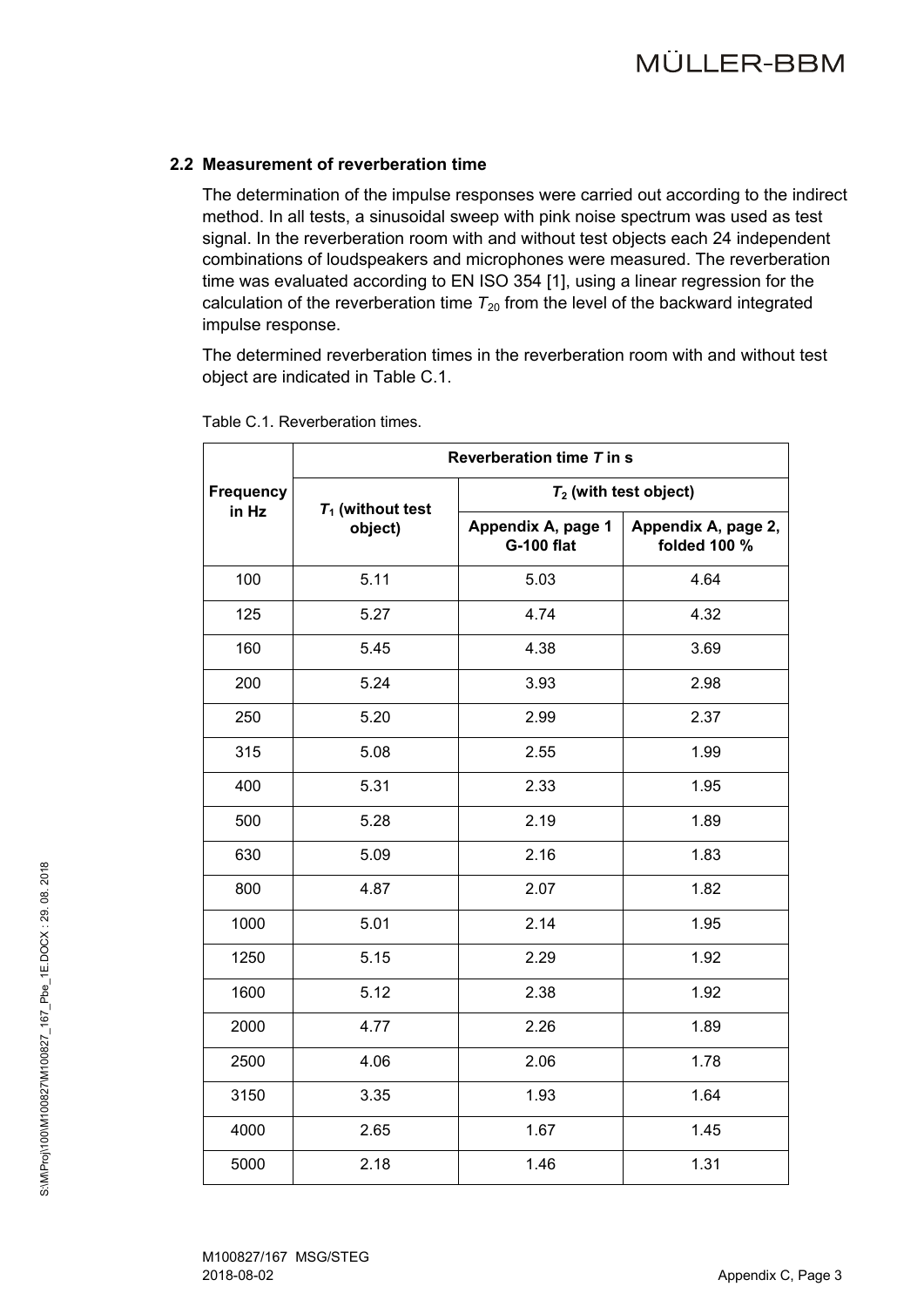### **2.2 Measurement of reverberation time**

The determination of the impulse responses were carried out according to the indirect method. In all tests, a sinusoidal sweep with pink noise spectrum was used as test signal. In the reverberation room with and without test objects each 24 independent combinations of loudspeakers and microphones were measured. The reverberation time was evaluated according to EN ISO 354 [1], using a linear regression for the calculation of the reverberation time  $T_{20}$  from the level of the backward integrated impulse response.

The determined reverberation times in the reverberation room with and without test object are indicated in Table C.1.

|                  | Reverberation time T in s |                                         |                                     |  |  |  |  |  |
|------------------|---------------------------|-----------------------------------------|-------------------------------------|--|--|--|--|--|
| <b>Frequency</b> | $T_1$ (without test       | $T_2$ (with test object)                |                                     |  |  |  |  |  |
| in Hz            | object)                   | Appendix A, page 1<br><b>G-100 flat</b> | Appendix A, page 2,<br>folded 100 % |  |  |  |  |  |
| 100              | 5.11                      | 5.03                                    | 4.64                                |  |  |  |  |  |
| 125              | 5.27                      | 4.74                                    | 4.32                                |  |  |  |  |  |
| 160              | 5.45                      | 4.38                                    | 3.69                                |  |  |  |  |  |
| 200              | 5.24                      | 3.93                                    | 2.98                                |  |  |  |  |  |
| 250              | 5.20                      | 2.99                                    | 2.37                                |  |  |  |  |  |
| 315              | 5.08                      | 2.55                                    | 1.99                                |  |  |  |  |  |
| 400              | 5.31                      | 2.33                                    | 1.95                                |  |  |  |  |  |
| 500              | 5.28                      | 2.19                                    | 1.89                                |  |  |  |  |  |
| 630              | 5.09                      | 2.16                                    | 1.83                                |  |  |  |  |  |
| 800              | 4.87                      | 2.07                                    | 1.82                                |  |  |  |  |  |
| 1000             | 5.01                      | 2.14                                    | 1.95                                |  |  |  |  |  |
| 1250             | 5.15                      | 2.29                                    | 1.92                                |  |  |  |  |  |
| 1600             | 5.12                      | 2.38                                    | 1.92                                |  |  |  |  |  |
| 2000             | 4.77                      | 2.26                                    | 1.89                                |  |  |  |  |  |
| 2500             | 4.06                      | 2.06                                    | 1.78                                |  |  |  |  |  |
| 3150             | 3.35                      | 1.93                                    | 1.64                                |  |  |  |  |  |
| 4000             | 2.65                      | 1.67                                    | 1.45                                |  |  |  |  |  |
| 5000             | 2.18                      | 1.46                                    | 1.31                                |  |  |  |  |  |

Table C.1. Reverberation times.